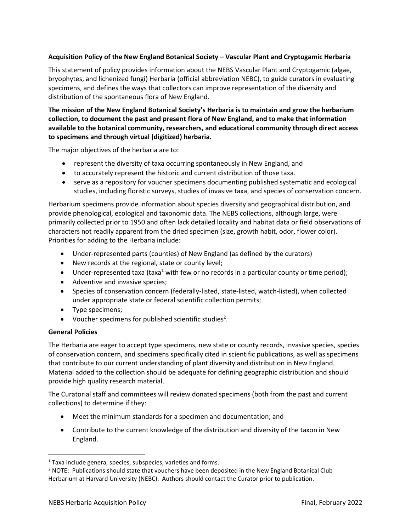## **Acquisition Policy of the New England Botanical Society – Vascular Plant and Cryptogamic Herbaria**

This statement of policy provides information about the NEBS Vascular Plant and Cryptogamic (algae, bryophytes, and lichenized fungi) Herbaria (official abbreviation NEBC), to guide curators in evaluating specimens, and defines the ways that collectors can improve representation of the diversity and distribution of the spontaneous flora of New England.

## **The mission of the New England Botanical Society's Herbaria is to maintain and grow the herbarium collection, to document the past and present flora of New England, and to make that information available to the botanical community, researchers, and educational community through direct access to specimens and through virtual (digitized) herbaria.**

The major objectives of the herbaria are to:

- represent the diversity of taxa occurring spontaneously in New England, and
- to accurately represent the historic and current distribution of those taxa.
- serve as a repository for voucher specimens documenting published systematic and ecological studies, including floristic surveys, studies of invasive taxa, and species of conservation concern.

Herbarium specimens provide information about species diversity and geographical distribution, and provide phenological, ecological and taxonomic data. The NEBS collections, although large, were primarily collected prior to 1950 and often lack detailed locality and habitat data or field observations of characters not readily apparent from the dried specimen (size, growth habit, odor, flower color). Priorities for adding to the Herbaria include:

- Under-represented parts (counties) of New England (as defined by the curators)
- New records at the regional, state or county level;
- Under-represented taxa (taxa<sup>1</sup> with few or no records in a particular county or time period);
- Adventive and invasive species;
- Species of conservation concern (federally-listed, state-listed, watch-listed), when collected under appropriate state or federal scientific collection permits;
- Type specimens;
- Voucher specimens for published scientific studies<sup>2</sup>.

## **General Policies**

The Herbaria are eager to accept type specimens, new state or county records, invasive species, species of conservation concern, and specimens specifically cited in scientific publications, as well as specimens that contribute to our current understanding of plant diversity and distribution in New England. Material added to the collection should be adequate for defining geographic distribution and should provide high quality research material.

The Curatorial staff and committees will review donated specimens (both from the past and current collections) to determine if they:

- Meet the minimum standards for a specimen and documentation; and
- Contribute to the current knowledge of the distribution and diversity of the taxon in New England.

 $1$  Taxa include genera, species, subspecies, varieties and forms.

 $<sup>2</sup>$  NOTE: Publications should state that vouchers have been deposited in the New England Botanical Club</sup> Herbarium at Harvard University (NEBC). Authors should contact the Curator prior to publication.